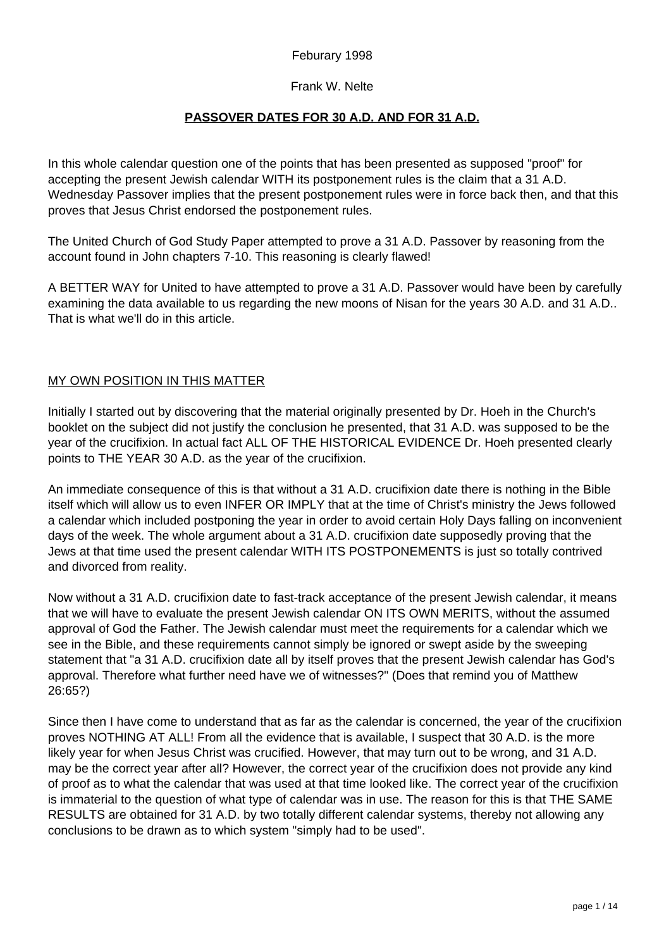## Feburary 1998

#### Frank W. Nelte

#### **PASSOVER DATES FOR 30 A.D. AND FOR 31 A.D.**

In this whole calendar question one of the points that has been presented as supposed "proof" for accepting the present Jewish calendar WITH its postponement rules is the claim that a 31 A.D. Wednesday Passover implies that the present postponement rules were in force back then, and that this proves that Jesus Christ endorsed the postponement rules.

The United Church of God Study Paper attempted to prove a 31 A.D. Passover by reasoning from the account found in John chapters 7-10. This reasoning is clearly flawed!

A BETTER WAY for United to have attempted to prove a 31 A.D. Passover would have been by carefully examining the data available to us regarding the new moons of Nisan for the years 30 A.D. and 31 A.D.. That is what we'll do in this article.

#### MY OWN POSITION IN THIS MATTER

Initially I started out by discovering that the material originally presented by Dr. Hoeh in the Church's booklet on the subject did not justify the conclusion he presented, that 31 A.D. was supposed to be the year of the crucifixion. In actual fact ALL OF THE HISTORICAL EVIDENCE Dr. Hoeh presented clearly points to THE YEAR 30 A.D. as the year of the crucifixion.

An immediate consequence of this is that without a 31 A.D. crucifixion date there is nothing in the Bible itself which will allow us to even INFER OR IMPLY that at the time of Christ's ministry the Jews followed a calendar which included postponing the year in order to avoid certain Holy Days falling on inconvenient days of the week. The whole argument about a 31 A.D. crucifixion date supposedly proving that the Jews at that time used the present calendar WITH ITS POSTPONEMENTS is just so totally contrived and divorced from reality.

Now without a 31 A.D. crucifixion date to fast-track acceptance of the present Jewish calendar, it means that we will have to evaluate the present Jewish calendar ON ITS OWN MERITS, without the assumed approval of God the Father. The Jewish calendar must meet the requirements for a calendar which we see in the Bible, and these requirements cannot simply be ignored or swept aside by the sweeping statement that "a 31 A.D. crucifixion date all by itself proves that the present Jewish calendar has God's approval. Therefore what further need have we of witnesses?" (Does that remind you of Matthew 26:65?)

Since then I have come to understand that as far as the calendar is concerned, the year of the crucifixion proves NOTHING AT ALL! From all the evidence that is available, I suspect that 30 A.D. is the more likely year for when Jesus Christ was crucified. However, that may turn out to be wrong, and 31 A.D. may be the correct year after all? However, the correct year of the crucifixion does not provide any kind of proof as to what the calendar that was used at that time looked like. The correct year of the crucifixion is immaterial to the question of what type of calendar was in use. The reason for this is that THE SAME RESULTS are obtained for 31 A.D. by two totally different calendar systems, thereby not allowing any conclusions to be drawn as to which system "simply had to be used".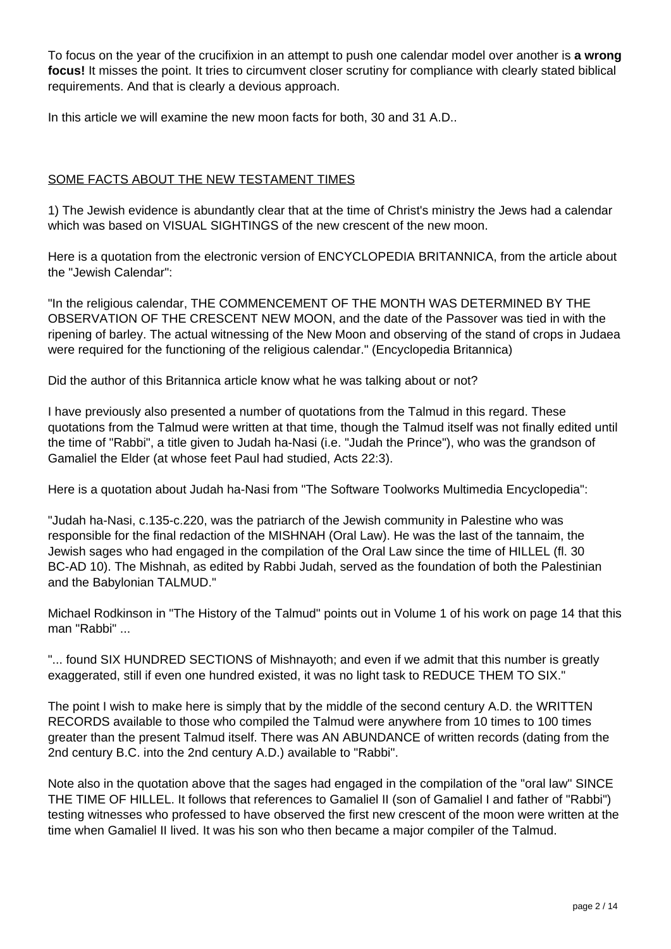To focus on the year of the crucifixion in an attempt to push one calendar model over another is **a wrong focus!** It misses the point. It tries to circumvent closer scrutiny for compliance with clearly stated biblical requirements. And that is clearly a devious approach.

In this article we will examine the new moon facts for both, 30 and 31 A.D..

## SOME FACTS ABOUT THE NEW TESTAMENT TIMES

1) The Jewish evidence is abundantly clear that at the time of Christ's ministry the Jews had a calendar which was based on VISUAL SIGHTINGS of the new crescent of the new moon.

Here is a quotation from the electronic version of ENCYCLOPEDIA BRITANNICA, from the article about the "Jewish Calendar":

"In the religious calendar, THE COMMENCEMENT OF THE MONTH WAS DETERMINED BY THE OBSERVATION OF THE CRESCENT NEW MOON, and the date of the Passover was tied in with the ripening of barley. The actual witnessing of the New Moon and observing of the stand of crops in Judaea were required for the functioning of the religious calendar." (Encyclopedia Britannica)

Did the author of this Britannica article know what he was talking about or not?

I have previously also presented a number of quotations from the Talmud in this regard. These quotations from the Talmud were written at that time, though the Talmud itself was not finally edited until the time of "Rabbi", a title given to Judah ha-Nasi (i.e. "Judah the Prince"), who was the grandson of Gamaliel the Elder (at whose feet Paul had studied, Acts 22:3).

Here is a quotation about Judah ha-Nasi from "The Software Toolworks Multimedia Encyclopedia":

"Judah ha-Nasi, c.135-c.220, was the patriarch of the Jewish community in Palestine who was responsible for the final redaction of the MISHNAH (Oral Law). He was the last of the tannaim, the Jewish sages who had engaged in the compilation of the Oral Law since the time of HILLEL (fl. 30 BC-AD 10). The Mishnah, as edited by Rabbi Judah, served as the foundation of both the Palestinian and the Babylonian TALMUD."

Michael Rodkinson in "The History of the Talmud" points out in Volume 1 of his work on page 14 that this man "Rabbi" ...

"... found SIX HUNDRED SECTIONS of Mishnayoth; and even if we admit that this number is greatly exaggerated, still if even one hundred existed, it was no light task to REDUCE THEM TO SIX."

The point I wish to make here is simply that by the middle of the second century A.D. the WRITTEN RECORDS available to those who compiled the Talmud were anywhere from 10 times to 100 times greater than the present Talmud itself. There was AN ABUNDANCE of written records (dating from the 2nd century B.C. into the 2nd century A.D.) available to "Rabbi".

Note also in the quotation above that the sages had engaged in the compilation of the "oral law" SINCE THE TIME OF HILLEL. It follows that references to Gamaliel II (son of Gamaliel I and father of "Rabbi") testing witnesses who professed to have observed the first new crescent of the moon were written at the time when Gamaliel II lived. It was his son who then became a major compiler of the Talmud.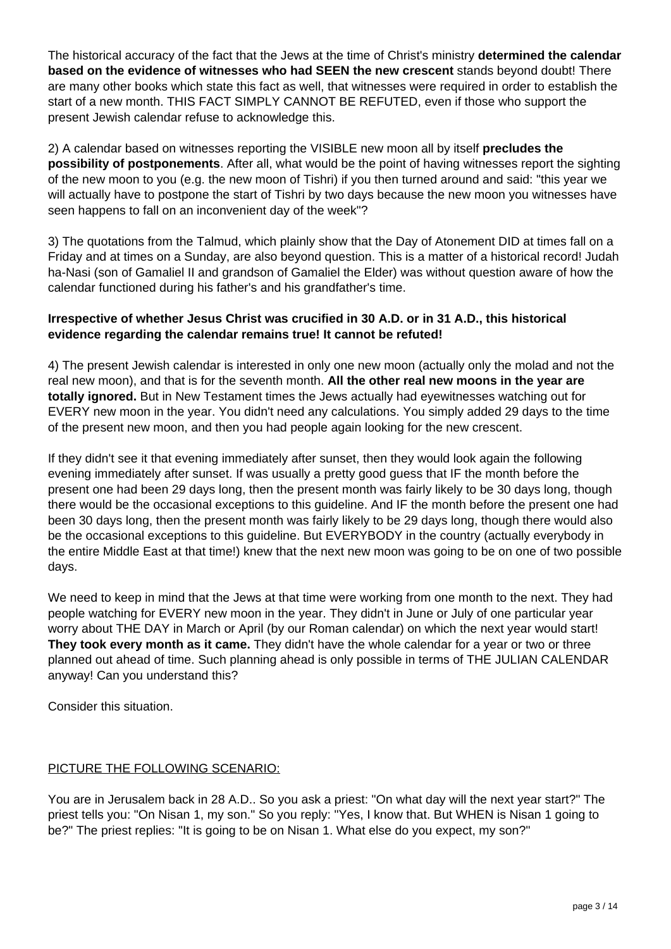The historical accuracy of the fact that the Jews at the time of Christ's ministry **determined the calendar based on the evidence of witnesses who had SEEN the new crescent** stands beyond doubt! There are many other books which state this fact as well, that witnesses were required in order to establish the start of a new month. THIS FACT SIMPLY CANNOT BE REFUTED, even if those who support the present Jewish calendar refuse to acknowledge this.

2) A calendar based on witnesses reporting the VISIBLE new moon all by itself **precludes the possibility of postponements**. After all, what would be the point of having witnesses report the sighting of the new moon to you (e.g. the new moon of Tishri) if you then turned around and said: "this year we will actually have to postpone the start of Tishri by two days because the new moon you witnesses have seen happens to fall on an inconvenient day of the week"?

3) The quotations from the Talmud, which plainly show that the Day of Atonement DID at times fall on a Friday and at times on a Sunday, are also beyond question. This is a matter of a historical record! Judah ha-Nasi (son of Gamaliel II and grandson of Gamaliel the Elder) was without question aware of how the calendar functioned during his father's and his grandfather's time.

# **Irrespective of whether Jesus Christ was crucified in 30 A.D. or in 31 A.D., this historical evidence regarding the calendar remains true! It cannot be refuted!**

4) The present Jewish calendar is interested in only one new moon (actually only the molad and not the real new moon), and that is for the seventh month. **All the other real new moons in the year are totally ignored.** But in New Testament times the Jews actually had eyewitnesses watching out for EVERY new moon in the year. You didn't need any calculations. You simply added 29 days to the time of the present new moon, and then you had people again looking for the new crescent.

If they didn't see it that evening immediately after sunset, then they would look again the following evening immediately after sunset. If was usually a pretty good guess that IF the month before the present one had been 29 days long, then the present month was fairly likely to be 30 days long, though there would be the occasional exceptions to this guideline. And IF the month before the present one had been 30 days long, then the present month was fairly likely to be 29 days long, though there would also be the occasional exceptions to this guideline. But EVERYBODY in the country (actually everybody in the entire Middle East at that time!) knew that the next new moon was going to be on one of two possible days.

We need to keep in mind that the Jews at that time were working from one month to the next. They had people watching for EVERY new moon in the year. They didn't in June or July of one particular year worry about THE DAY in March or April (by our Roman calendar) on which the next year would start! **They took every month as it came.** They didn't have the whole calendar for a year or two or three planned out ahead of time. Such planning ahead is only possible in terms of THE JULIAN CALENDAR anyway! Can you understand this?

Consider this situation.

# PICTURE THE FOLLOWING SCENARIO:

You are in Jerusalem back in 28 A.D.. So you ask a priest: "On what day will the next year start?" The priest tells you: "On Nisan 1, my son." So you reply: "Yes, I know that. But WHEN is Nisan 1 going to be?" The priest replies: "It is going to be on Nisan 1. What else do you expect, my son?"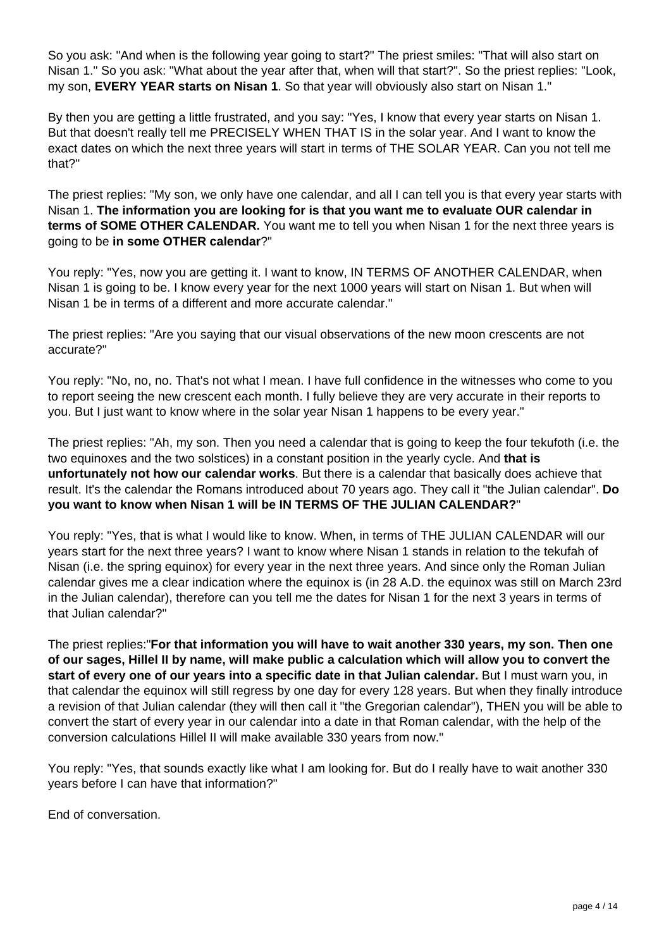So you ask: "And when is the following year going to start?" The priest smiles: "That will also start on Nisan 1." So you ask: "What about the year after that, when will that start?". So the priest replies: "Look, my son, **EVERY YEAR starts on Nisan 1**. So that year will obviously also start on Nisan 1."

By then you are getting a little frustrated, and you say: "Yes, I know that every year starts on Nisan 1. But that doesn't really tell me PRECISELY WHEN THAT IS in the solar year. And I want to know the exact dates on which the next three years will start in terms of THE SOLAR YEAR. Can you not tell me that?"

The priest replies: "My son, we only have one calendar, and all I can tell you is that every year starts with Nisan 1. **The information you are looking for is that you want me to evaluate OUR calendar in terms of SOME OTHER CALENDAR.** You want me to tell you when Nisan 1 for the next three years is going to be **in some OTHER calendar**?"

You reply: "Yes, now you are getting it. I want to know, IN TERMS OF ANOTHER CALENDAR, when Nisan 1 is going to be. I know every year for the next 1000 years will start on Nisan 1. But when will Nisan 1 be in terms of a different and more accurate calendar."

The priest replies: "Are you saying that our visual observations of the new moon crescents are not accurate?"

You reply: "No, no, no. That's not what I mean. I have full confidence in the witnesses who come to you to report seeing the new crescent each month. I fully believe they are very accurate in their reports to you. But I just want to know where in the solar year Nisan 1 happens to be every year."

The priest replies: "Ah, my son. Then you need a calendar that is going to keep the four tekufoth (i.e. the two equinoxes and the two solstices) in a constant position in the yearly cycle. And **that is unfortunately not how our calendar works**. But there is a calendar that basically does achieve that result. It's the calendar the Romans introduced about 70 years ago. They call it "the Julian calendar". **Do you want to know when Nisan 1 will be IN TERMS OF THE JULIAN CALENDAR?**"

You reply: "Yes, that is what I would like to know. When, in terms of THE JULIAN CALENDAR will our years start for the next three years? I want to know where Nisan 1 stands in relation to the tekufah of Nisan (i.e. the spring equinox) for every year in the next three years. And since only the Roman Julian calendar gives me a clear indication where the equinox is (in 28 A.D. the equinox was still on March 23rd in the Julian calendar), therefore can you tell me the dates for Nisan 1 for the next 3 years in terms of that Julian calendar?"

The priest replies:"**For that information you will have to wait another 330 years, my son. Then one of our sages, Hillel II by name, will make public a calculation which will allow you to convert the start of every one of our years into a specific date in that Julian calendar.** But I must warn you, in that calendar the equinox will still regress by one day for every 128 years. But when they finally introduce a revision of that Julian calendar (they will then call it "the Gregorian calendar"), THEN you will be able to convert the start of every year in our calendar into a date in that Roman calendar, with the help of the conversion calculations Hillel II will make available 330 years from now."

You reply: "Yes, that sounds exactly like what I am looking for. But do I really have to wait another 330 years before I can have that information?"

End of conversation.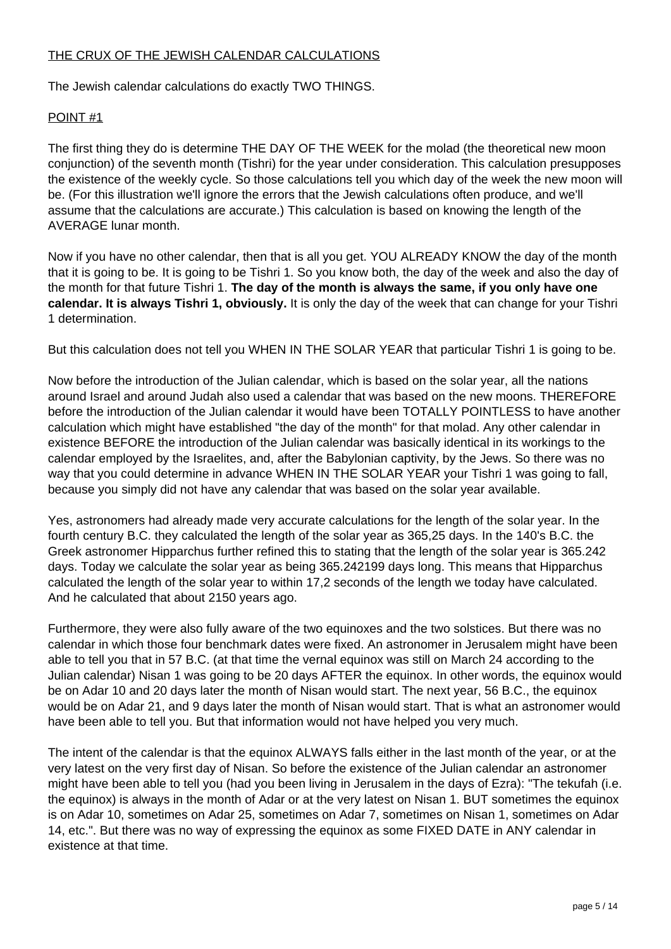## THE CRUX OF THE JEWISH CALENDAR CALCULATIONS

The Jewish calendar calculations do exactly TWO THINGS.

#### POINT #1

The first thing they do is determine THE DAY OF THE WEEK for the molad (the theoretical new moon conjunction) of the seventh month (Tishri) for the year under consideration. This calculation presupposes the existence of the weekly cycle. So those calculations tell you which day of the week the new moon will be. (For this illustration we'll ignore the errors that the Jewish calculations often produce, and we'll assume that the calculations are accurate.) This calculation is based on knowing the length of the AVERAGE lunar month.

Now if you have no other calendar, then that is all you get. YOU ALREADY KNOW the day of the month that it is going to be. It is going to be Tishri 1. So you know both, the day of the week and also the day of the month for that future Tishri 1. **The day of the month is always the same, if you only have one calendar. It is always Tishri 1, obviously.** It is only the day of the week that can change for your Tishri 1 determination.

But this calculation does not tell you WHEN IN THE SOLAR YEAR that particular Tishri 1 is going to be.

Now before the introduction of the Julian calendar, which is based on the solar year, all the nations around Israel and around Judah also used a calendar that was based on the new moons. THEREFORE before the introduction of the Julian calendar it would have been TOTALLY POINTLESS to have another calculation which might have established "the day of the month" for that molad. Any other calendar in existence BEFORE the introduction of the Julian calendar was basically identical in its workings to the calendar employed by the Israelites, and, after the Babylonian captivity, by the Jews. So there was no way that you could determine in advance WHEN IN THE SOLAR YEAR your Tishri 1 was going to fall, because you simply did not have any calendar that was based on the solar year available.

Yes, astronomers had already made very accurate calculations for the length of the solar year. In the fourth century B.C. they calculated the length of the solar year as 365,25 days. In the 140's B.C. the Greek astronomer Hipparchus further refined this to stating that the length of the solar year is 365.242 days. Today we calculate the solar year as being 365.242199 days long. This means that Hipparchus calculated the length of the solar year to within 17,2 seconds of the length we today have calculated. And he calculated that about 2150 years ago.

Furthermore, they were also fully aware of the two equinoxes and the two solstices. But there was no calendar in which those four benchmark dates were fixed. An astronomer in Jerusalem might have been able to tell you that in 57 B.C. (at that time the vernal equinox was still on March 24 according to the Julian calendar) Nisan 1 was going to be 20 days AFTER the equinox. In other words, the equinox would be on Adar 10 and 20 days later the month of Nisan would start. The next year, 56 B.C., the equinox would be on Adar 21, and 9 days later the month of Nisan would start. That is what an astronomer would have been able to tell you. But that information would not have helped you very much.

The intent of the calendar is that the equinox ALWAYS falls either in the last month of the year, or at the very latest on the very first day of Nisan. So before the existence of the Julian calendar an astronomer might have been able to tell you (had you been living in Jerusalem in the days of Ezra): "The tekufah (i.e. the equinox) is always in the month of Adar or at the very latest on Nisan 1. BUT sometimes the equinox is on Adar 10, sometimes on Adar 25, sometimes on Adar 7, sometimes on Nisan 1, sometimes on Adar 14, etc.". But there was no way of expressing the equinox as some FIXED DATE in ANY calendar in existence at that time.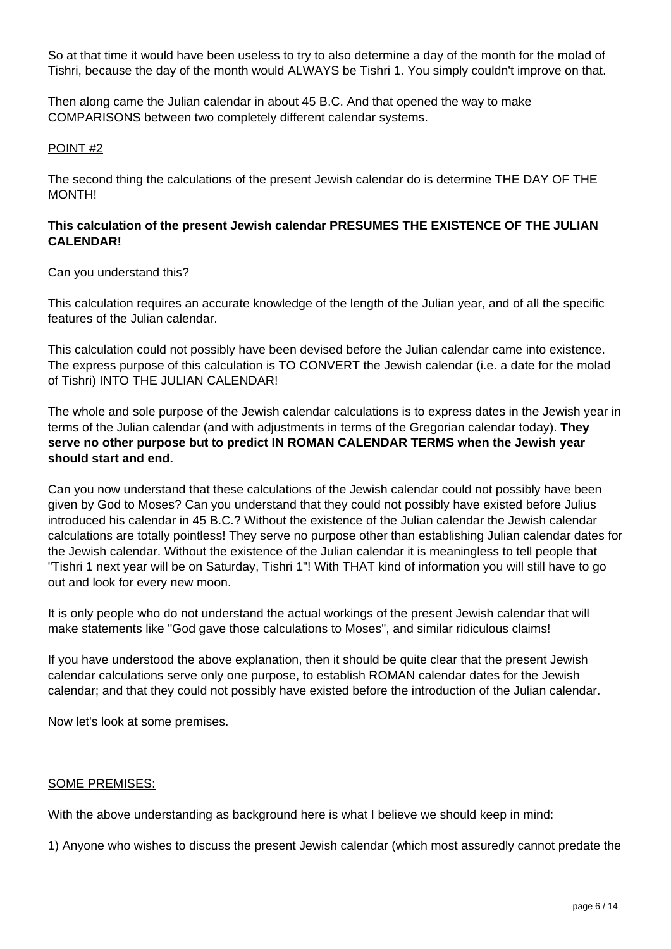So at that time it would have been useless to try to also determine a day of the month for the molad of Tishri, because the day of the month would ALWAYS be Tishri 1. You simply couldn't improve on that.

Then along came the Julian calendar in about 45 B.C. And that opened the way to make COMPARISONS between two completely different calendar systems.

#### POINT #2

The second thing the calculations of the present Jewish calendar do is determine THE DAY OF THE MONTH!

### **This calculation of the present Jewish calendar PRESUMES THE EXISTENCE OF THE JULIAN CALENDAR!**

#### Can you understand this?

This calculation requires an accurate knowledge of the length of the Julian year, and of all the specific features of the Julian calendar.

This calculation could not possibly have been devised before the Julian calendar came into existence. The express purpose of this calculation is TO CONVERT the Jewish calendar (i.e. a date for the molad of Tishri) INTO THE JULIAN CALENDAR!

The whole and sole purpose of the Jewish calendar calculations is to express dates in the Jewish year in terms of the Julian calendar (and with adjustments in terms of the Gregorian calendar today). **They serve no other purpose but to predict IN ROMAN CALENDAR TERMS when the Jewish year should start and end.**

Can you now understand that these calculations of the Jewish calendar could not possibly have been given by God to Moses? Can you understand that they could not possibly have existed before Julius introduced his calendar in 45 B.C.? Without the existence of the Julian calendar the Jewish calendar calculations are totally pointless! They serve no purpose other than establishing Julian calendar dates for the Jewish calendar. Without the existence of the Julian calendar it is meaningless to tell people that "Tishri 1 next year will be on Saturday, Tishri 1"! With THAT kind of information you will still have to go out and look for every new moon.

It is only people who do not understand the actual workings of the present Jewish calendar that will make statements like "God gave those calculations to Moses", and similar ridiculous claims!

If you have understood the above explanation, then it should be quite clear that the present Jewish calendar calculations serve only one purpose, to establish ROMAN calendar dates for the Jewish calendar; and that they could not possibly have existed before the introduction of the Julian calendar.

Now let's look at some premises.

#### SOME PREMISES:

With the above understanding as background here is what I believe we should keep in mind:

1) Anyone who wishes to discuss the present Jewish calendar (which most assuredly cannot predate the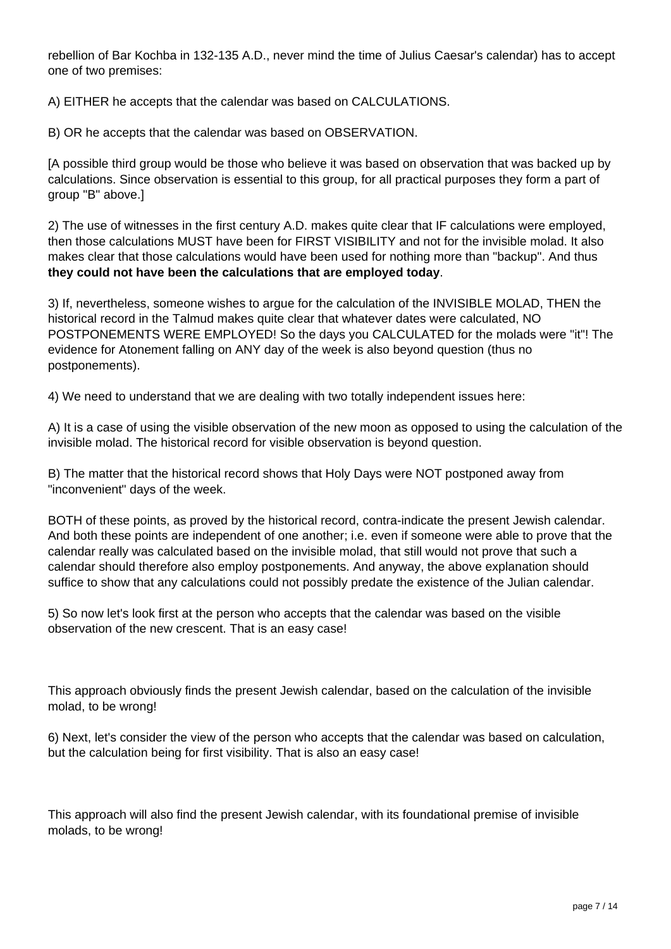rebellion of Bar Kochba in 132-135 A.D., never mind the time of Julius Caesar's calendar) has to accept one of two premises:

A) EITHER he accepts that the calendar was based on CALCULATIONS.

B) OR he accepts that the calendar was based on OBSERVATION.

[A possible third group would be those who believe it was based on observation that was backed up by calculations. Since observation is essential to this group, for all practical purposes they form a part of group "B" above.]

2) The use of witnesses in the first century A.D. makes quite clear that IF calculations were employed, then those calculations MUST have been for FIRST VISIBILITY and not for the invisible molad. It also makes clear that those calculations would have been used for nothing more than "backup". And thus **they could not have been the calculations that are employed today**.

3) If, nevertheless, someone wishes to argue for the calculation of the INVISIBLE MOLAD, THEN the historical record in the Talmud makes quite clear that whatever dates were calculated, NO POSTPONEMENTS WERE EMPLOYED! So the days you CALCULATED for the molads were "it"! The evidence for Atonement falling on ANY day of the week is also beyond question (thus no postponements).

4) We need to understand that we are dealing with two totally independent issues here:

A) It is a case of using the visible observation of the new moon as opposed to using the calculation of the invisible molad. The historical record for visible observation is beyond question.

B) The matter that the historical record shows that Holy Days were NOT postponed away from "inconvenient" days of the week.

BOTH of these points, as proved by the historical record, contra-indicate the present Jewish calendar. And both these points are independent of one another; i.e. even if someone were able to prove that the calendar really was calculated based on the invisible molad, that still would not prove that such a calendar should therefore also employ postponements. And anyway, the above explanation should suffice to show that any calculations could not possibly predate the existence of the Julian calendar.

5) So now let's look first at the person who accepts that the calendar was based on the visible observation of the new crescent. That is an easy case!

This approach obviously finds the present Jewish calendar, based on the calculation of the invisible molad, to be wrong!

6) Next, let's consider the view of the person who accepts that the calendar was based on calculation, but the calculation being for first visibility. That is also an easy case!

This approach will also find the present Jewish calendar, with its foundational premise of invisible molads, to be wrong!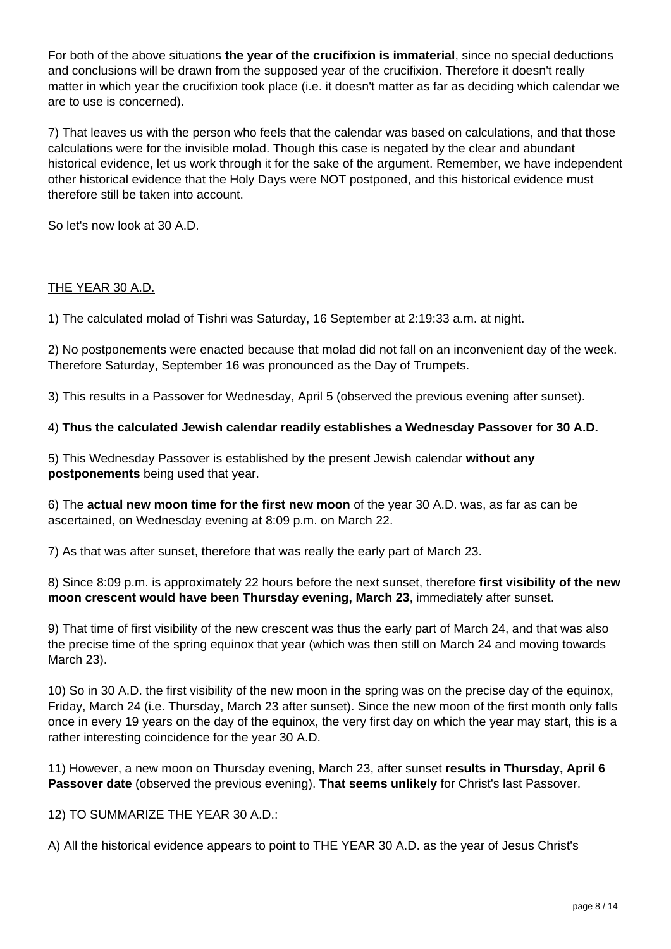For both of the above situations **the year of the crucifixion is immaterial**, since no special deductions and conclusions will be drawn from the supposed year of the crucifixion. Therefore it doesn't really matter in which year the crucifixion took place (i.e. it doesn't matter as far as deciding which calendar we are to use is concerned).

7) That leaves us with the person who feels that the calendar was based on calculations, and that those calculations were for the invisible molad. Though this case is negated by the clear and abundant historical evidence, let us work through it for the sake of the argument. Remember, we have independent other historical evidence that the Holy Days were NOT postponed, and this historical evidence must therefore still be taken into account.

So let's now look at 30 A.D.

## THE YEAR 30 A.D.

1) The calculated molad of Tishri was Saturday, 16 September at 2:19:33 a.m. at night.

2) No postponements were enacted because that molad did not fall on an inconvenient day of the week. Therefore Saturday, September 16 was pronounced as the Day of Trumpets.

3) This results in a Passover for Wednesday, April 5 (observed the previous evening after sunset).

## 4) **Thus the calculated Jewish calendar readily establishes a Wednesday Passover for 30 A.D.**

5) This Wednesday Passover is established by the present Jewish calendar **without any postponements** being used that year.

6) The **actual new moon time for the first new moon** of the year 30 A.D. was, as far as can be ascertained, on Wednesday evening at 8:09 p.m. on March 22.

7) As that was after sunset, therefore that was really the early part of March 23.

8) Since 8:09 p.m. is approximately 22 hours before the next sunset, therefore **first visibility of the new moon crescent would have been Thursday evening, March 23**, immediately after sunset.

9) That time of first visibility of the new crescent was thus the early part of March 24, and that was also the precise time of the spring equinox that year (which was then still on March 24 and moving towards March 23).

10) So in 30 A.D. the first visibility of the new moon in the spring was on the precise day of the equinox, Friday, March 24 (i.e. Thursday, March 23 after sunset). Since the new moon of the first month only falls once in every 19 years on the day of the equinox, the very first day on which the year may start, this is a rather interesting coincidence for the year 30 A.D.

11) However, a new moon on Thursday evening, March 23, after sunset **results in Thursday, April 6 Passover date** (observed the previous evening). **That seems unlikely** for Christ's last Passover.

12) TO SUMMARIZE THE YEAR 30 A.D.:

A) All the historical evidence appears to point to THE YEAR 30 A.D. as the year of Jesus Christ's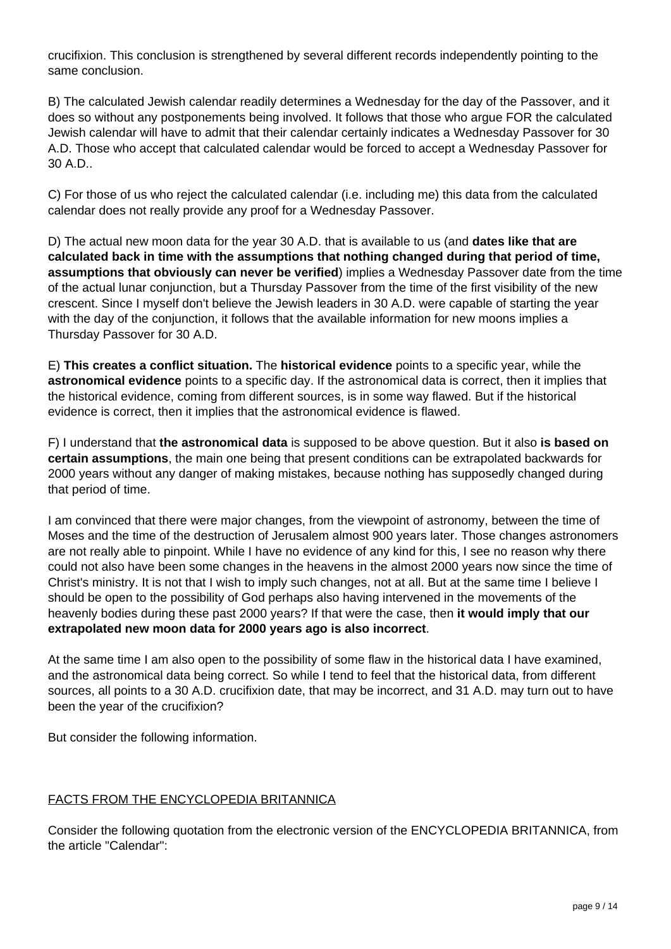crucifixion. This conclusion is strengthened by several different records independently pointing to the same conclusion.

B) The calculated Jewish calendar readily determines a Wednesday for the day of the Passover, and it does so without any postponements being involved. It follows that those who argue FOR the calculated Jewish calendar will have to admit that their calendar certainly indicates a Wednesday Passover for 30 A.D. Those who accept that calculated calendar would be forced to accept a Wednesday Passover for 30 A.D..

C) For those of us who reject the calculated calendar (i.e. including me) this data from the calculated calendar does not really provide any proof for a Wednesday Passover.

D) The actual new moon data for the year 30 A.D. that is available to us (and **dates like that are calculated back in time with the assumptions that nothing changed during that period of time, assumptions that obviously can never be verified**) implies a Wednesday Passover date from the time of the actual lunar conjunction, but a Thursday Passover from the time of the first visibility of the new crescent. Since I myself don't believe the Jewish leaders in 30 A.D. were capable of starting the year with the day of the conjunction, it follows that the available information for new moons implies a Thursday Passover for 30 A.D.

E) **This creates a conflict situation.** The **historical evidence** points to a specific year, while the **astronomical evidence** points to a specific day. If the astronomical data is correct, then it implies that the historical evidence, coming from different sources, is in some way flawed. But if the historical evidence is correct, then it implies that the astronomical evidence is flawed.

F) I understand that **the astronomical data** is supposed to be above question. But it also **is based on certain assumptions**, the main one being that present conditions can be extrapolated backwards for 2000 years without any danger of making mistakes, because nothing has supposedly changed during that period of time.

I am convinced that there were major changes, from the viewpoint of astronomy, between the time of Moses and the time of the destruction of Jerusalem almost 900 years later. Those changes astronomers are not really able to pinpoint. While I have no evidence of any kind for this, I see no reason why there could not also have been some changes in the heavens in the almost 2000 years now since the time of Christ's ministry. It is not that I wish to imply such changes, not at all. But at the same time I believe I should be open to the possibility of God perhaps also having intervened in the movements of the heavenly bodies during these past 2000 years? If that were the case, then **it would imply that our extrapolated new moon data for 2000 years ago is also incorrect**.

At the same time I am also open to the possibility of some flaw in the historical data I have examined, and the astronomical data being correct. So while I tend to feel that the historical data, from different sources, all points to a 30 A.D. crucifixion date, that may be incorrect, and 31 A.D. may turn out to have been the year of the crucifixion?

But consider the following information.

# FACTS FROM THE ENCYCLOPEDIA BRITANNICA

Consider the following quotation from the electronic version of the ENCYCLOPEDIA BRITANNICA, from the article "Calendar":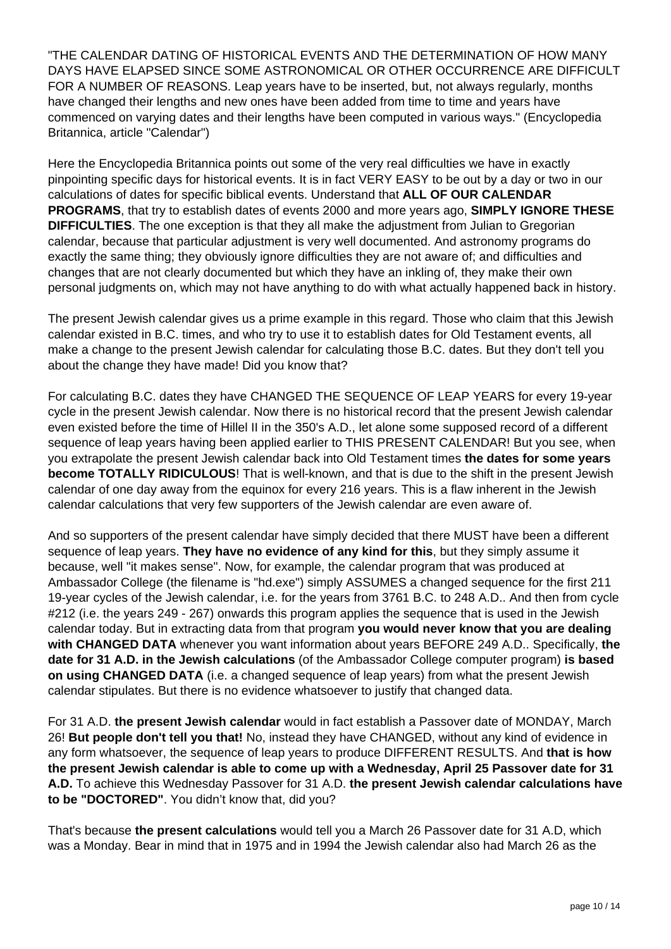"THE CALENDAR DATING OF HISTORICAL EVENTS AND THE DETERMINATION OF HOW MANY DAYS HAVE ELAPSED SINCE SOME ASTRONOMICAL OR OTHER OCCURRENCE ARE DIFFICULT FOR A NUMBER OF REASONS. Leap years have to be inserted, but, not always regularly, months have changed their lengths and new ones have been added from time to time and years have commenced on varying dates and their lengths have been computed in various ways." (Encyclopedia Britannica, article "Calendar")

Here the Encyclopedia Britannica points out some of the very real difficulties we have in exactly pinpointing specific days for historical events. It is in fact VERY EASY to be out by a day or two in our calculations of dates for specific biblical events. Understand that **ALL OF OUR CALENDAR PROGRAMS**, that try to establish dates of events 2000 and more years ago, **SIMPLY IGNORE THESE DIFFICULTIES**. The one exception is that they all make the adjustment from Julian to Gregorian calendar, because that particular adjustment is very well documented. And astronomy programs do exactly the same thing; they obviously ignore difficulties they are not aware of; and difficulties and changes that are not clearly documented but which they have an inkling of, they make their own personal judgments on, which may not have anything to do with what actually happened back in history.

The present Jewish calendar gives us a prime example in this regard. Those who claim that this Jewish calendar existed in B.C. times, and who try to use it to establish dates for Old Testament events, all make a change to the present Jewish calendar for calculating those B.C. dates. But they don't tell you about the change they have made! Did you know that?

For calculating B.C. dates they have CHANGED THE SEQUENCE OF LEAP YEARS for every 19-year cycle in the present Jewish calendar. Now there is no historical record that the present Jewish calendar even existed before the time of Hillel II in the 350's A.D., let alone some supposed record of a different sequence of leap years having been applied earlier to THIS PRESENT CALENDAR! But you see, when you extrapolate the present Jewish calendar back into Old Testament times **the dates for some years become TOTALLY RIDICULOUS**! That is well-known, and that is due to the shift in the present Jewish calendar of one day away from the equinox for every 216 years. This is a flaw inherent in the Jewish calendar calculations that very few supporters of the Jewish calendar are even aware of.

And so supporters of the present calendar have simply decided that there MUST have been a different sequence of leap years. **They have no evidence of any kind for this**, but they simply assume it because, well "it makes sense". Now, for example, the calendar program that was produced at Ambassador College (the filename is "hd.exe") simply ASSUMES a changed sequence for the first 211 19-year cycles of the Jewish calendar, i.e. for the years from 3761 B.C. to 248 A.D.. And then from cycle #212 (i.e. the years 249 - 267) onwards this program applies the sequence that is used in the Jewish calendar today. But in extracting data from that program **you would never know that you are dealing with CHANGED DATA** whenever you want information about years BEFORE 249 A.D.. Specifically, **the date for 31 A.D. in the Jewish calculations** (of the Ambassador College computer program) **is based on using CHANGED DATA** (i.e. a changed sequence of leap years) from what the present Jewish calendar stipulates. But there is no evidence whatsoever to justify that changed data.

For 31 A.D. **the present Jewish calendar** would in fact establish a Passover date of MONDAY, March 26! **But people don't tell you that!** No, instead they have CHANGED, without any kind of evidence in any form whatsoever, the sequence of leap years to produce DIFFERENT RESULTS. And **that is how the present Jewish calendar is able to come up with a Wednesday, April 25 Passover date for 31 A.D.** To achieve this Wednesday Passover for 31 A.D. **the present Jewish calendar calculations have to be "DOCTORED"**. You didn't know that, did you?

That's because **the present calculations** would tell you a March 26 Passover date for 31 A.D, which was a Monday. Bear in mind that in 1975 and in 1994 the Jewish calendar also had March 26 as the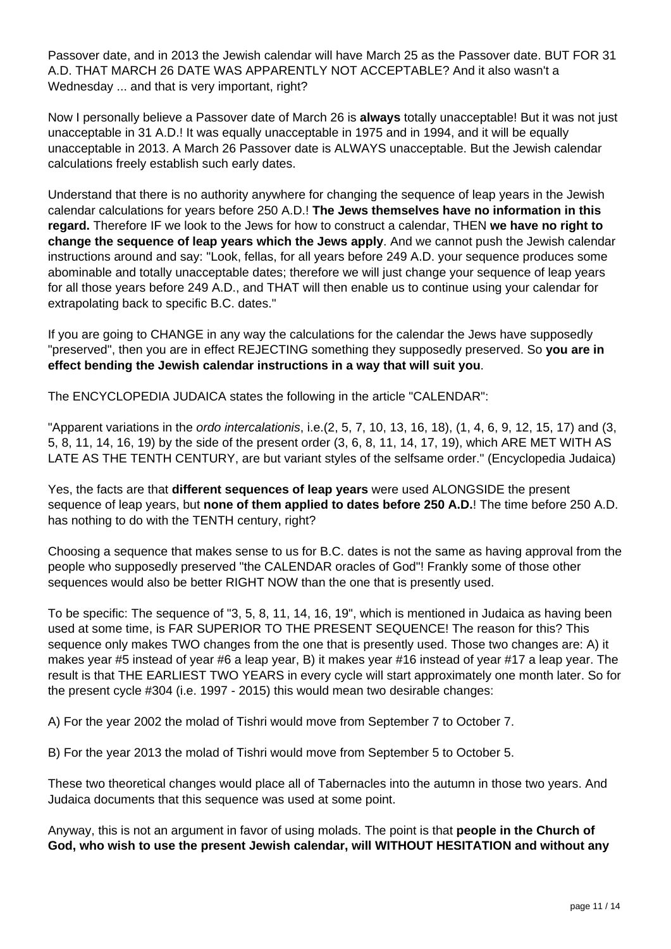Passover date, and in 2013 the Jewish calendar will have March 25 as the Passover date. BUT FOR 31 A.D. THAT MARCH 26 DATE WAS APPARENTLY NOT ACCEPTABLE? And it also wasn't a Wednesday ... and that is very important, right?

Now I personally believe a Passover date of March 26 is **always** totally unacceptable! But it was not just unacceptable in 31 A.D.! It was equally unacceptable in 1975 and in 1994, and it will be equally unacceptable in 2013. A March 26 Passover date is ALWAYS unacceptable. But the Jewish calendar calculations freely establish such early dates.

Understand that there is no authority anywhere for changing the sequence of leap years in the Jewish calendar calculations for years before 250 A.D.! **The Jews themselves have no information in this regard.** Therefore IF we look to the Jews for how to construct a calendar, THEN **we have no right to change the sequence of leap years which the Jews apply**. And we cannot push the Jewish calendar instructions around and say: "Look, fellas, for all years before 249 A.D. your sequence produces some abominable and totally unacceptable dates; therefore we will just change your sequence of leap years for all those years before 249 A.D., and THAT will then enable us to continue using your calendar for extrapolating back to specific B.C. dates."

If you are going to CHANGE in any way the calculations for the calendar the Jews have supposedly "preserved", then you are in effect REJECTING something they supposedly preserved. So **you are in effect bending the Jewish calendar instructions in a way that will suit you**.

The ENCYCLOPEDIA JUDAICA states the following in the article "CALENDAR":

"Apparent variations in the ordo intercalationis, i.e. (2, 5, 7, 10, 13, 16, 18), (1, 4, 6, 9, 12, 15, 17) and (3, 5, 8, 11, 14, 16, 19) by the side of the present order (3, 6, 8, 11, 14, 17, 19), which ARE MET WITH AS LATE AS THE TENTH CENTURY, are but variant styles of the selfsame order." (Encyclopedia Judaica)

Yes, the facts are that **different sequences of leap years** were used ALONGSIDE the present sequence of leap years, but **none of them applied to dates before 250 A.D.**! The time before 250 A.D. has nothing to do with the TENTH century, right?

Choosing a sequence that makes sense to us for B.C. dates is not the same as having approval from the people who supposedly preserved "the CALENDAR oracles of God"! Frankly some of those other sequences would also be better RIGHT NOW than the one that is presently used.

To be specific: The sequence of "3, 5, 8, 11, 14, 16, 19", which is mentioned in Judaica as having been used at some time, is FAR SUPERIOR TO THE PRESENT SEQUENCE! The reason for this? This sequence only makes TWO changes from the one that is presently used. Those two changes are: A) it makes year #5 instead of year #6 a leap year, B) it makes year #16 instead of year #17 a leap year. The result is that THE EARLIEST TWO YEARS in every cycle will start approximately one month later. So for the present cycle #304 (i.e. 1997 - 2015) this would mean two desirable changes:

A) For the year 2002 the molad of Tishri would move from September 7 to October 7.

B) For the year 2013 the molad of Tishri would move from September 5 to October 5.

These two theoretical changes would place all of Tabernacles into the autumn in those two years. And Judaica documents that this sequence was used at some point.

Anyway, this is not an argument in favor of using molads. The point is that **people in the Church of God, who wish to use the present Jewish calendar, will WITHOUT HESITATION and without any**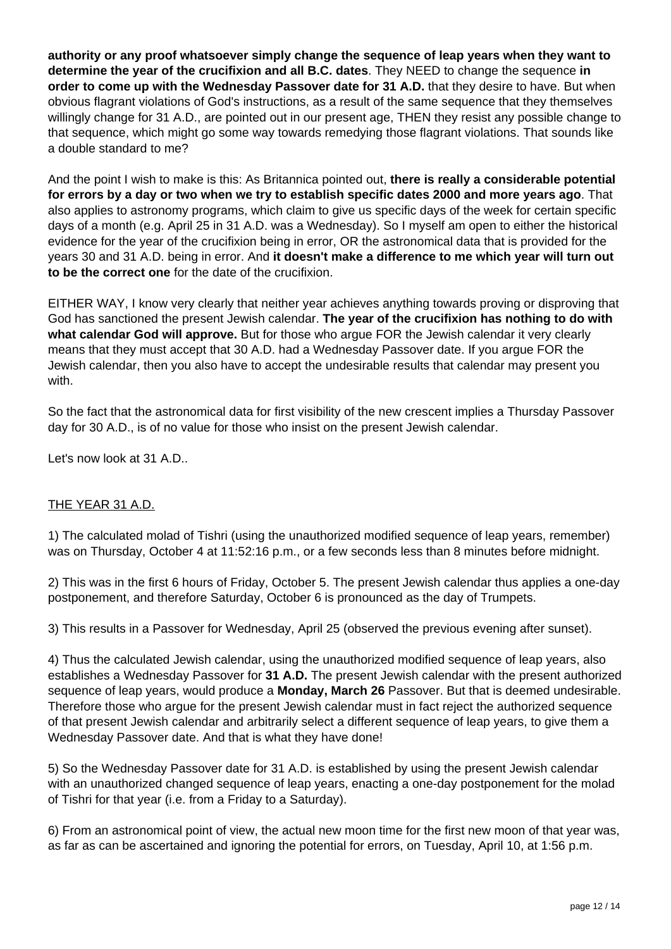**authority or any proof whatsoever simply change the sequence of leap years when they want to determine the year of the crucifixion and all B.C. dates**. They NEED to change the sequence **in order to come up with the Wednesday Passover date for 31 A.D.** that they desire to have. But when obvious flagrant violations of God's instructions, as a result of the same sequence that they themselves willingly change for 31 A.D., are pointed out in our present age, THEN they resist any possible change to that sequence, which might go some way towards remedying those flagrant violations. That sounds like a double standard to me?

And the point I wish to make is this: As Britannica pointed out, **there is really a considerable potential for errors by a day or two when we try to establish specific dates 2000 and more years ago**. That also applies to astronomy programs, which claim to give us specific days of the week for certain specific days of a month (e.g. April 25 in 31 A.D. was a Wednesday). So I myself am open to either the historical evidence for the year of the crucifixion being in error, OR the astronomical data that is provided for the years 30 and 31 A.D. being in error. And **it doesn't make a difference to me which year will turn out to be the correct one** for the date of the crucifixion.

EITHER WAY, I know very clearly that neither year achieves anything towards proving or disproving that God has sanctioned the present Jewish calendar. **The year of the crucifixion has nothing to do with what calendar God will approve.** But for those who argue FOR the Jewish calendar it very clearly means that they must accept that 30 A.D. had a Wednesday Passover date. If you argue FOR the Jewish calendar, then you also have to accept the undesirable results that calendar may present you with.

So the fact that the astronomical data for first visibility of the new crescent implies a Thursday Passover day for 30 A.D., is of no value for those who insist on the present Jewish calendar.

Let's now look at 31 A.D..

# THE YEAR 31 A.D.

1) The calculated molad of Tishri (using the unauthorized modified sequence of leap years, remember) was on Thursday, October 4 at 11:52:16 p.m., or a few seconds less than 8 minutes before midnight.

2) This was in the first 6 hours of Friday, October 5. The present Jewish calendar thus applies a one-day postponement, and therefore Saturday, October 6 is pronounced as the day of Trumpets.

3) This results in a Passover for Wednesday, April 25 (observed the previous evening after sunset).

4) Thus the calculated Jewish calendar, using the unauthorized modified sequence of leap years, also establishes a Wednesday Passover for **31 A.D.** The present Jewish calendar with the present authorized sequence of leap years, would produce a **Monday, March 26** Passover. But that is deemed undesirable. Therefore those who argue for the present Jewish calendar must in fact reject the authorized sequence of that present Jewish calendar and arbitrarily select a different sequence of leap years, to give them a Wednesday Passover date. And that is what they have done!

5) So the Wednesday Passover date for 31 A.D. is established by using the present Jewish calendar with an unauthorized changed sequence of leap years, enacting a one-day postponement for the molad of Tishri for that year (i.e. from a Friday to a Saturday).

6) From an astronomical point of view, the actual new moon time for the first new moon of that year was, as far as can be ascertained and ignoring the potential for errors, on Tuesday, April 10, at 1:56 p.m.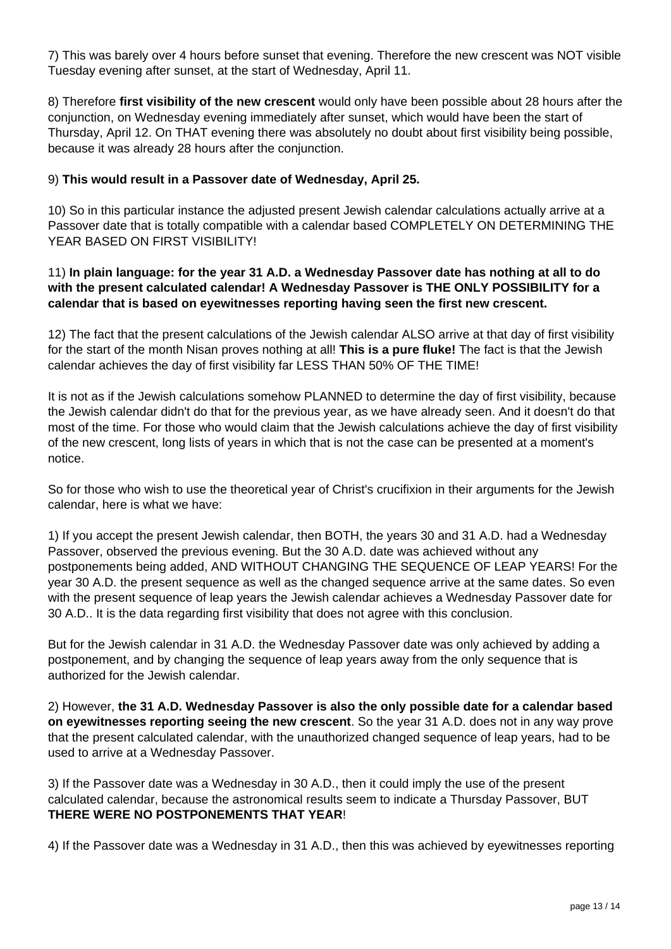7) This was barely over 4 hours before sunset that evening. Therefore the new crescent was NOT visible Tuesday evening after sunset, at the start of Wednesday, April 11.

8) Therefore **first visibility of the new crescent** would only have been possible about 28 hours after the conjunction, on Wednesday evening immediately after sunset, which would have been the start of Thursday, April 12. On THAT evening there was absolutely no doubt about first visibility being possible, because it was already 28 hours after the conjunction.

## 9) **This would result in a Passover date of Wednesday, April 25.**

10) So in this particular instance the adjusted present Jewish calendar calculations actually arrive at a Passover date that is totally compatible with a calendar based COMPLETELY ON DETERMINING THE YEAR BASED ON FIRST VISIBILITY!

## 11) **In plain language: for the year 31 A.D. a Wednesday Passover date has nothing at all to do with the present calculated calendar! A Wednesday Passover is THE ONLY POSSIBILITY for a calendar that is based on eyewitnesses reporting having seen the first new crescent.**

12) The fact that the present calculations of the Jewish calendar ALSO arrive at that day of first visibility for the start of the month Nisan proves nothing at all! **This is a pure fluke!** The fact is that the Jewish calendar achieves the day of first visibility far LESS THAN 50% OF THE TIME!

It is not as if the Jewish calculations somehow PLANNED to determine the day of first visibility, because the Jewish calendar didn't do that for the previous year, as we have already seen. And it doesn't do that most of the time. For those who would claim that the Jewish calculations achieve the day of first visibility of the new crescent, long lists of years in which that is not the case can be presented at a moment's notice.

So for those who wish to use the theoretical year of Christ's crucifixion in their arguments for the Jewish calendar, here is what we have:

1) If you accept the present Jewish calendar, then BOTH, the years 30 and 31 A.D. had a Wednesday Passover, observed the previous evening. But the 30 A.D. date was achieved without any postponements being added, AND WITHOUT CHANGING THE SEQUENCE OF LEAP YEARS! For the year 30 A.D. the present sequence as well as the changed sequence arrive at the same dates. So even with the present sequence of leap years the Jewish calendar achieves a Wednesday Passover date for 30 A.D.. It is the data regarding first visibility that does not agree with this conclusion.

But for the Jewish calendar in 31 A.D. the Wednesday Passover date was only achieved by adding a postponement, and by changing the sequence of leap years away from the only sequence that is authorized for the Jewish calendar.

2) However, **the 31 A.D. Wednesday Passover is also the only possible date for a calendar based on eyewitnesses reporting seeing the new crescent**. So the year 31 A.D. does not in any way prove that the present calculated calendar, with the unauthorized changed sequence of leap years, had to be used to arrive at a Wednesday Passover.

3) If the Passover date was a Wednesday in 30 A.D., then it could imply the use of the present calculated calendar, because the astronomical results seem to indicate a Thursday Passover, BUT **THERE WERE NO POSTPONEMENTS THAT YEAR**!

4) If the Passover date was a Wednesday in 31 A.D., then this was achieved by eyewitnesses reporting